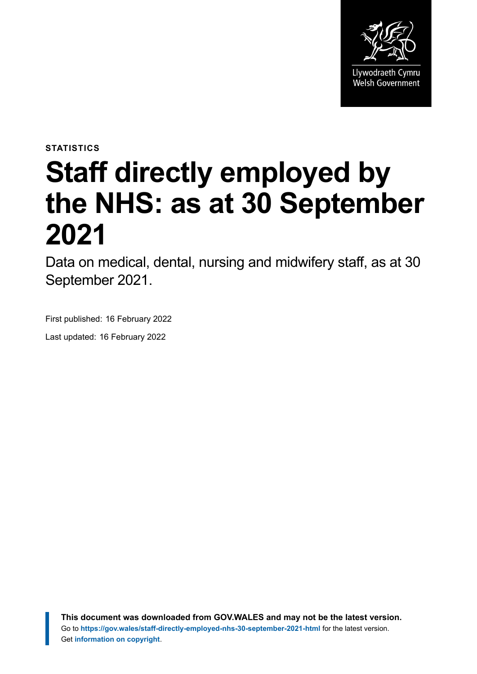

**STATISTICS**

# **Staff directly employed by the NHS: as at 30 September 2021**

Data on medical, dental, nursing and midwifery staff, as at 30 September 2021.

First published: 16 February 2022

Last updated: 16 February 2022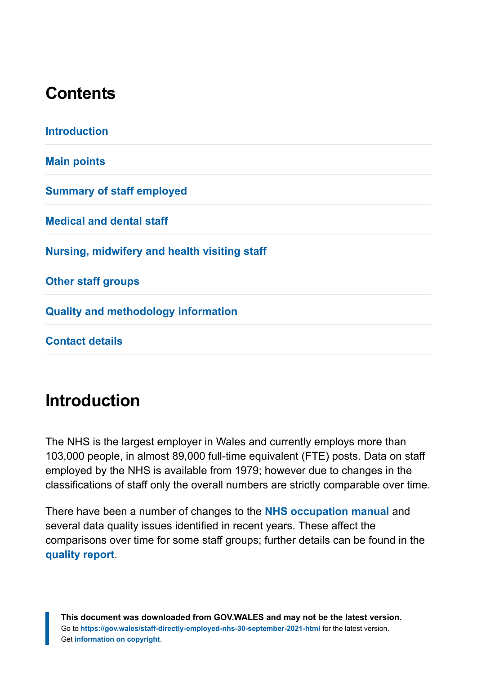## **Contents**

| <b>Introduction</b>                          |  |
|----------------------------------------------|--|
| <b>Main points</b>                           |  |
| <b>Summary of staff employed</b>             |  |
| <b>Medical and dental staff</b>              |  |
| Nursing, midwifery and health visiting staff |  |
| <b>Other staff groups</b>                    |  |
| <b>Quality and methodology information</b>   |  |
| <b>Contact details</b>                       |  |

## <span id="page-1-0"></span>**Introduction**

The NHS is the largest employer in Wales and currently employs more than 103,000 people, in almost 89,000 full-time equivalent (FTE) posts. Data on staff employed by the NHS is available from 1979; however due to changes in the classifications of staff only the overall numbers are strictly comparable over time.

There have been a number of changes to the **[NHS occupation manual](http://www.hscic.gov.uk/article/2268/NHS-Occupation-Codes)** and several data quality issues identified in recent years. These affect the comparisons over time for some staff groups; further details can be found in the **[quality report](https://gov.wales/staff-directly-employed-nhs-quality-report)**.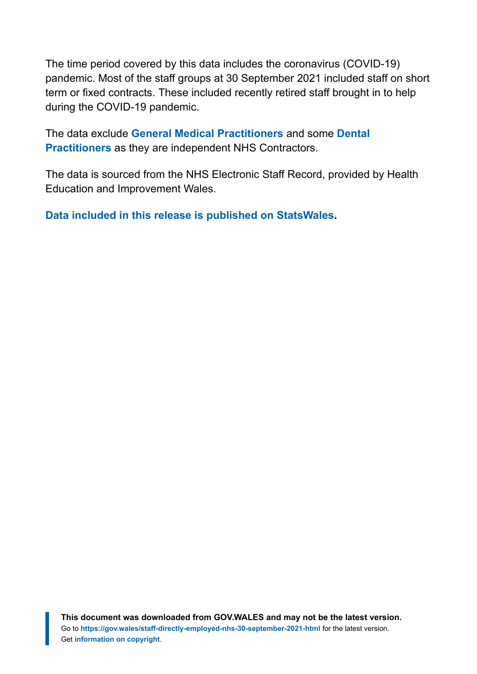The time period covered by this data includes the coronavirus (COVID-19) pandemic. Most of the staff groups at 30 September 2021 included staff on short term or fixed contracts. These included recently retired staff brought in to help during the COVID-19 pandemic.

The data exclude **[General Medical Practitioners](https://statswales.gov.wales/Catalogue/Health-and-Social-Care/General-Medical-Services/number-of-gps-employed-in-general-practices)** and some **[Dental](https://statswales.gov.wales/Catalogue/Health-and-Social-Care/General-Dental-Services/Current-Contract/nhsdentalworkforce-by-localhealthboard-agegroup-contracttype-gender-dentisttype-year) [Practitioners](https://statswales.gov.wales/Catalogue/Health-and-Social-Care/General-Dental-Services/Current-Contract/nhsdentalworkforce-by-localhealthboard-agegroup-contracttype-gender-dentisttype-year)** as they are independent NHS Contractors.

The data is sourced from the NHS Electronic Staff Record, provided by Health Education and Improvement Wales.

**[Data included in this release is published on](https://statswales.gov.wales/Catalogue/Health-and-Social-Care/NHS-Staff) StatsWales.**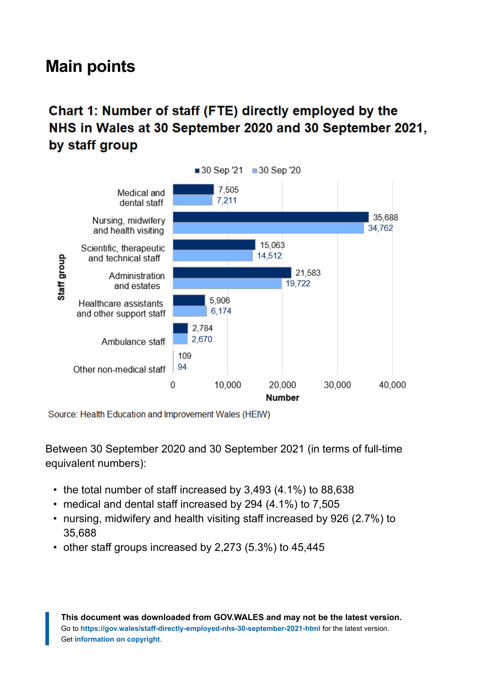## <span id="page-3-0"></span>**Main points**

## Chart 1: Number of staff (FTE) directly employed by the NHS in Wales at 30 September 2020 and 30 September 2021, by staff group



Source: Health Education and Improvement Wales (HEIW)

Between 30 September 2020 and 30 September 2021 (in terms of full-time equivalent numbers):

- the total number of staff increased by 3,493 (4.1%) to 88,638
- medical and dental staff increased by 294 (4.1%) to 7,505
- nursing, midwifery and health visiting staff increased by 926 (2.7%) to 35,688
- other staff groups increased by 2,273 (5.3%) to 45,445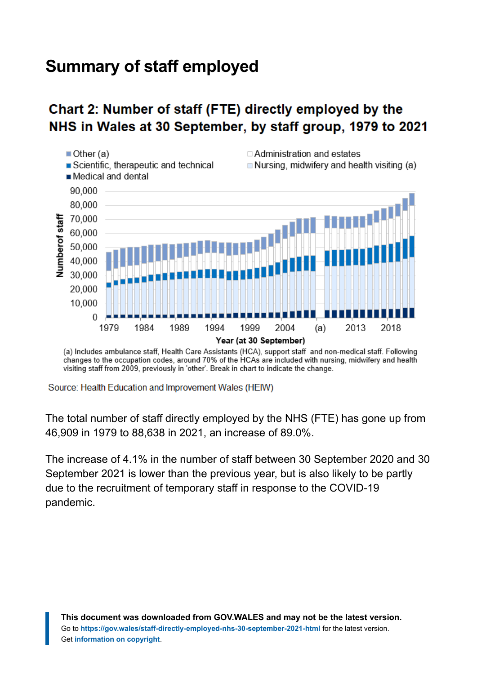## <span id="page-4-0"></span>**Summary of staff employed**

### Chart 2: Number of staff (FTE) directly employed by the NHS in Wales at 30 September, by staff group, 1979 to 2021



(a) Includes ambulance staff, Health Care Assistants (HCA), support staff and non-medical staff. Following changes to the occupation codes, around 70% of the HCAs are included with nursing, midwifery and health visiting staff from 2009, previously in 'other'. Break in chart to indicate the change.

Source: Health Education and Improvement Wales (HEIW)

The total number of staff directly employed by the NHS (FTE) has gone up from 46,909 in 1979 to 88,638 in 2021, an increase of 89.0%.

The increase of 4.1% in the number of staff between 30 September 2020 and 30 September 2021 is lower than the previous year, but is also likely to be partly due to the recruitment of temporary staff in response to the COVID-19 pandemic.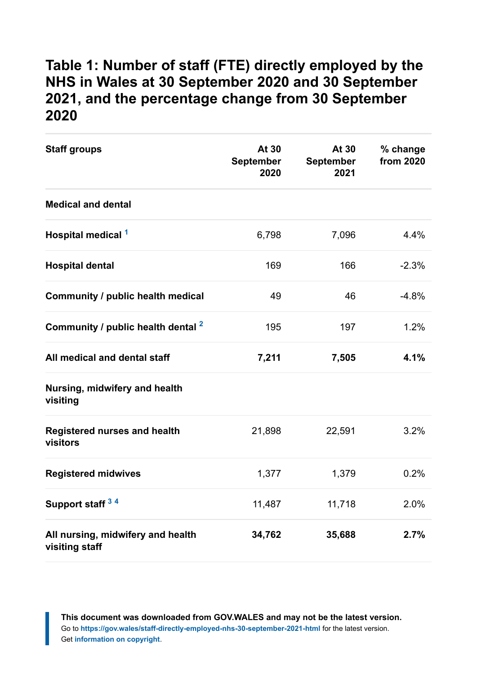#### **Table 1: Number of staff (FTE) directly employed by the NHS in Wales at 30 September 2020 and 30 September 2021, and the percentage change from 30 September 2020**

| <b>Staff groups</b>                                 | At 30<br><b>September</b><br>2020 | At 30<br><b>September</b><br>2021 | % change<br>from 2020 |
|-----------------------------------------------------|-----------------------------------|-----------------------------------|-----------------------|
| <b>Medical and dental</b>                           |                                   |                                   |                       |
| Hospital medical 1                                  | 6,798                             | 7,096                             | 4.4%                  |
| <b>Hospital dental</b>                              | 169                               | 166                               | $-2.3%$               |
| Community / public health medical                   | 49                                | 46                                | $-4.8%$               |
| Community / public health dental <sup>2</sup>       | 195                               | 197                               | 1.2%                  |
| All medical and dental staff                        | 7,211                             | 7,505                             | 4.1%                  |
| Nursing, midwifery and health<br>visiting           |                                   |                                   |                       |
| <b>Registered nurses and health</b><br>visitors     | 21,898                            | 22,591                            | 3.2%                  |
| <b>Registered midwives</b>                          | 1,377                             | 1,379                             | 0.2%                  |
| Support staff 34                                    | 11,487                            | 11,718                            | 2.0%                  |
| All nursing, midwifery and health<br>visiting staff | 34,762                            | 35,688                            | 2.7%                  |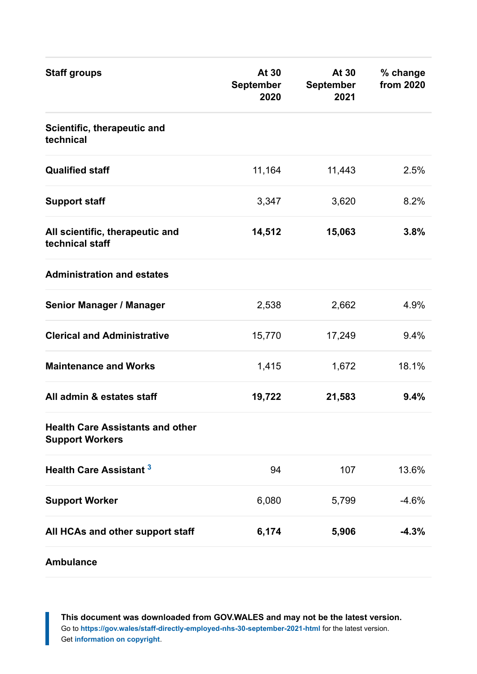| <b>Staff groups</b>                                               | At 30<br><b>September</b><br>2020 | At 30<br>September<br>2021 | % change<br>from 2020 |
|-------------------------------------------------------------------|-----------------------------------|----------------------------|-----------------------|
| Scientific, therapeutic and<br>technical                          |                                   |                            |                       |
| <b>Qualified staff</b>                                            | 11,164                            | 11,443                     | 2.5%                  |
| <b>Support staff</b>                                              | 3,347                             | 3,620                      | 8.2%                  |
| All scientific, therapeutic and<br>technical staff                | 14,512                            | 15,063                     | 3.8%                  |
| <b>Administration and estates</b>                                 |                                   |                            |                       |
| <b>Senior Manager / Manager</b>                                   | 2,538                             | 2,662                      | 4.9%                  |
| <b>Clerical and Administrative</b>                                | 15,770                            | 17,249                     | 9.4%                  |
| <b>Maintenance and Works</b>                                      | 1,415                             | 1,672                      | 18.1%                 |
| All admin & estates staff                                         | 19,722                            | 21,583                     | 9.4%                  |
| <b>Health Care Assistants and other</b><br><b>Support Workers</b> |                                   |                            |                       |
| <b>Health Care Assistant 3</b>                                    | 94                                | 107                        | 13.6%                 |
| <b>Support Worker</b>                                             | 6,080                             | 5,799                      | $-4.6%$               |
| All HCAs and other support staff                                  | 6,174                             | 5,906                      | $-4.3%$               |
| <b>Ambulance</b>                                                  |                                   |                            |                       |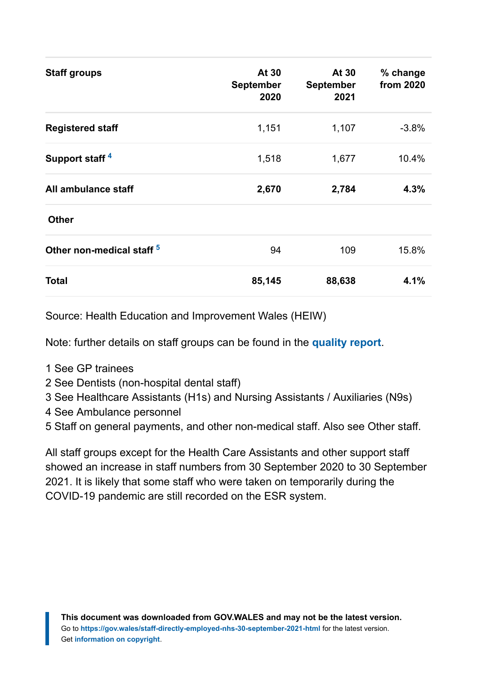| <b>Staff groups</b>                  | At 30<br><b>September</b><br>2020 | At 30<br><b>September</b><br>2021 | % change<br>from 2020 |
|--------------------------------------|-----------------------------------|-----------------------------------|-----------------------|
| <b>Registered staff</b>              | 1,151                             | 1,107                             | $-3.8%$               |
| Support staff <sup>4</sup>           | 1,518                             | 1,677                             | 10.4%                 |
| All ambulance staff                  | 2,670                             | 2,784                             | 4.3%                  |
| <b>Other</b>                         |                                   |                                   |                       |
| Other non-medical staff <sup>5</sup> | 94                                | 109                               | 15.8%                 |
| Total                                | 85,145                            | 88,638                            | 4.1%                  |

Source: Health Education and Improvement Wales (HEIW)

Note: further details on staff groups can be found in the **[quality report](https://gov.wales/staff-directly-employed-nhs-quality-report)**.

- <span id="page-7-0"></span>1 See GP trainees
- <span id="page-7-1"></span>2 See Dentists (non-hospital dental staff)
- <span id="page-7-2"></span>3 See Healthcare Assistants (H1s) and Nursing Assistants / Auxiliaries (N9s)
- <span id="page-7-3"></span>4 See Ambulance personnel
- <span id="page-7-4"></span>5 Staff on general payments, and other non-medical staff. Also see Other staff.

All staff groups except for the Health Care Assistants and other support staff showed an increase in staff numbers from 30 September 2020 to 30 September 2021. It is likely that some staff who were taken on temporarily during the COVID-19 pandemic are still recorded on the ESR system.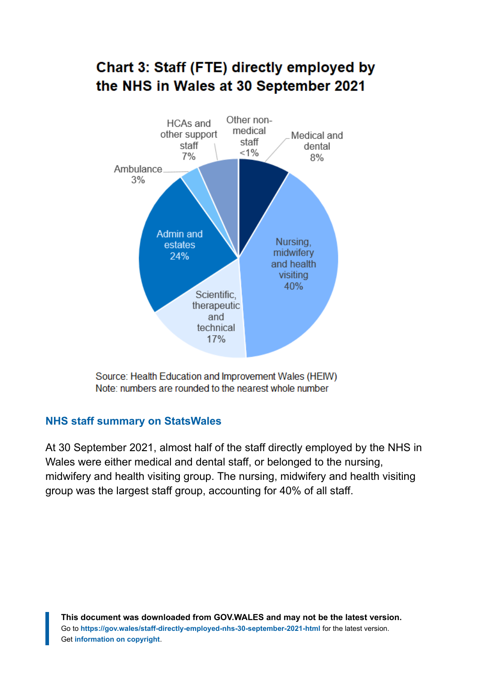#### **Chart 3: Staff (FTE) directly employed by** the NHS in Wales at 30 September 2021 Other non-**HCAs and** medical other support Medical and staff staff dental  $< 1\%$  $7%$  $8%$ Ambulance.  $3%$ Admin and Nursina. estates

midwifery

and health visiting 40%

Source: Health Education and Improvement Wales (HEIW) Note: numbers are rounded to the nearest whole number

Scientific. therapeutic and technical  $17%$ 

24%

#### **[NHS staff summary on StatsWales](https://statswales.gov.wales/Catalogue/Health-and-Social-Care/NHS-Staff/NHS-Staff-Summary)**

At 30 September 2021, almost half of the staff directly employed by the NHS in Wales were either medical and dental staff, or belonged to the nursing, midwifery and health visiting group. The nursing, midwifery and health visiting group was the largest staff group, accounting for 40% of all staff.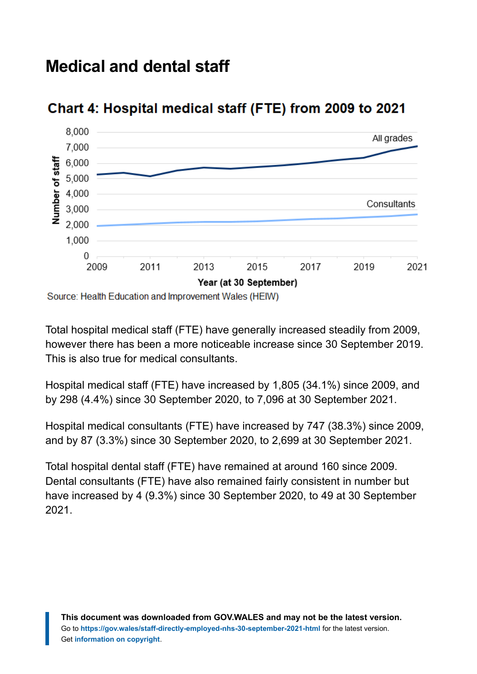## <span id="page-9-0"></span>**Medical and dental staff**



### Chart 4: Hospital medical staff (FTE) from 2009 to 2021

Source: Health Education and Improvement Wales (HEIW)

Total hospital medical staff (FTE) have generally increased steadily from 2009, however there has been a more noticeable increase since 30 September 2019. This is also true for medical consultants.

Hospital medical staff (FTE) have increased by 1,805 (34.1%) since 2009, and by 298 (4.4%) since 30 September 2020, to 7,096 at 30 September 2021.

Hospital medical consultants (FTE) have increased by 747 (38.3%) since 2009, and by 87 (3.3%) since 30 September 2020, to 2,699 at 30 September 2021.

Total hospital dental staff (FTE) have remained at around 160 since 2009. Dental consultants (FTE) have also remained fairly consistent in number but have increased by 4 (9.3%) since 30 September 2020, to 49 at 30 September 2021.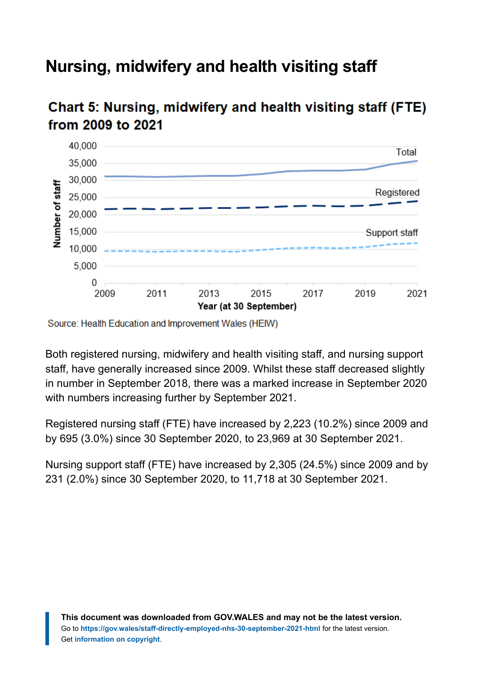# <span id="page-10-0"></span>**Nursing, midwifery and health visiting staff**



## Chart 5: Nursing, midwifery and health visiting staff (FTE) from 2009 to 2021

Source: Health Education and Improvement Wales (HEIW)

Both registered nursing, midwifery and health visiting staff, and nursing support staff, have generally increased since 2009. Whilst these staff decreased slightly in number in September 2018, there was a marked increase in September 2020 with numbers increasing further by September 2021.

Registered nursing staff (FTE) have increased by 2,223 (10.2%) since 2009 and by 695 (3.0%) since 30 September 2020, to 23,969 at 30 September 2021.

Nursing support staff (FTE) have increased by 2,305 (24.5%) since 2009 and by 231 (2.0%) since 30 September 2020, to 11,718 at 30 September 2021.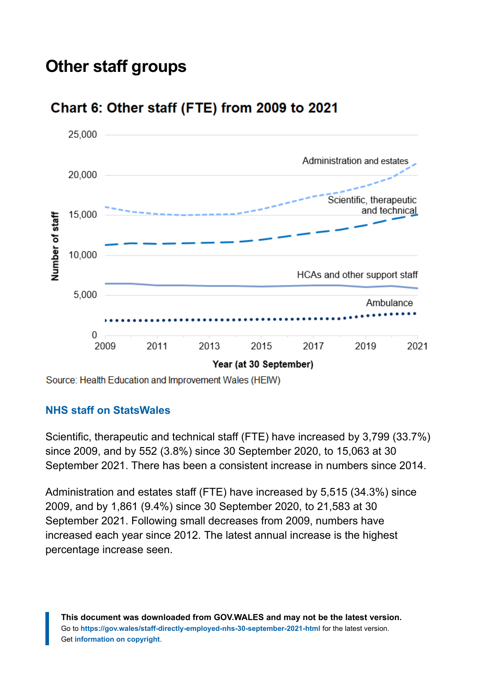# <span id="page-11-0"></span>**Other staff groups**



### Chart 6: Other staff (FTE) from 2009 to 2021

Source: Health Education and Improvement Wales (HEIW)

#### **[NHS staff on StatsWales](https://statswales.gov.wales/Catalogue/Health-and-Social-Care/NHS-Staff)**

Scientific, therapeutic and technical staff (FTE) have increased by 3,799 (33.7%) since 2009, and by 552 (3.8%) since 30 September 2020, to 15,063 at 30 September 2021. There has been a consistent increase in numbers since 2014.

Administration and estates staff (FTE) have increased by 5,515 (34.3%) since 2009, and by 1,861 (9.4%) since 30 September 2020, to 21,583 at 30 September 2021. Following small decreases from 2009, numbers have increased each year since 2012. The latest annual increase is the highest percentage increase seen.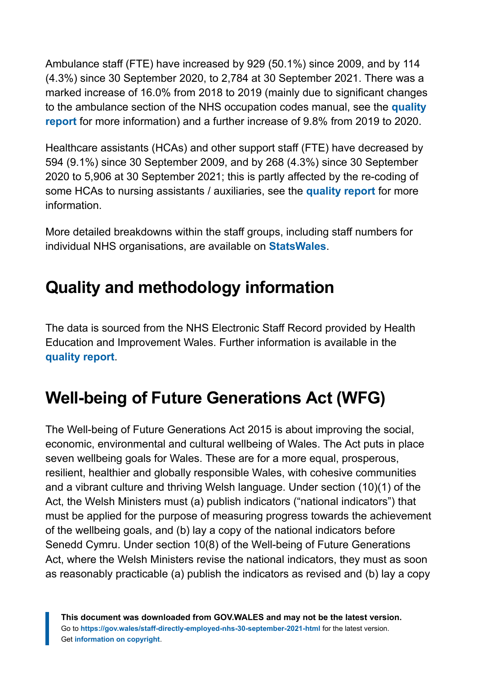Ambulance staff (FTE) have increased by 929 (50.1%) since 2009, and by 114 (4.3%) since 30 September 2020, to 2,784 at 30 September 2021. There was a marked increase of 16.0% from 2018 to 2019 (mainly due to significant changes to the ambulance section of the NHS occupation codes manual, see the **[quality](https://gov.wales/staff-directly-employed-nhs-quality-report) [report](https://gov.wales/staff-directly-employed-nhs-quality-report)** for more information) and a further increase of 9.8% from 2019 to 2020.

Healthcare assistants (HCAs) and other support staff (FTE) have decreased by 594 (9.1%) since 30 September 2009, and by 268 (4.3%) since 30 September 2020 to 5,906 at 30 September 2021; this is partly affected by the re-coding of some HCAs to nursing assistants / auxiliaries, see the **[quality report](https://gov.wales/staff-directly-employed-nhs-quality-report)** for more information.

More detailed breakdowns within the staff groups, including staff numbers for individual NHS organisations, are available on **[StatsWales](https://statswales.gov.wales/Catalogue/Health-and-Social-Care/NHS-Staff)**.

# <span id="page-12-0"></span>**Quality and methodology information**

The data is sourced from the NHS Electronic Staff Record provided by Health Education and Improvement Wales. Further information is available in the **[quality report](https://gov.wales/staff-directly-employed-nhs-quality-report)**.

# **Well-being of Future Generations Act (WFG)**

The Well-being of Future Generations Act 2015 is about improving the social, economic, environmental and cultural wellbeing of Wales. The Act puts in place seven wellbeing goals for Wales. These are for a more equal, prosperous, resilient, healthier and globally responsible Wales, with cohesive communities and a vibrant culture and thriving Welsh language. Under section (10)(1) of the Act, the Welsh Ministers must (a) publish indicators ("national indicators") that must be applied for the purpose of measuring progress towards the achievement of the wellbeing goals, and (b) lay a copy of the national indicators before Senedd Cymru. Under section 10(8) of the Well-being of Future Generations Act, where the Welsh Ministers revise the national indicators, they must as soon as reasonably practicable (a) publish the indicators as revised and (b) lay a copy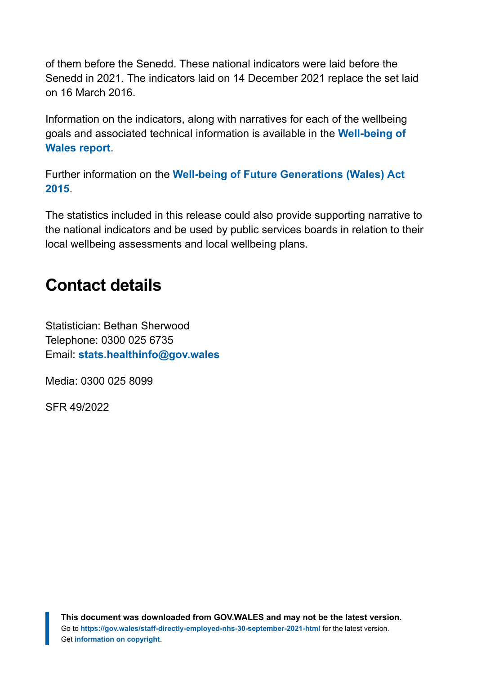of them before the Senedd. These national indicators were laid before the Senedd in 2021. The indicators laid on 14 December 2021 replace the set laid on 16 March 2016.

Information on the indicators, along with narratives for each of the wellbeing goals and associated technical information is available in the **[Well-being of](https://gov.wales/wellbeing-wales) [Wales report](https://gov.wales/wellbeing-wales)**.

Further information on the **[Well-being of Future Generations \(Wales\) Act](https://gov.wales/well-being-future-generations-wales-act-2015-guidance) [2015](https://gov.wales/well-being-future-generations-wales-act-2015-guidance)**.

The statistics included in this release could also provide supporting narrative to the national indicators and be used by public services boards in relation to their local wellbeing assessments and local wellbeing plans.

## <span id="page-13-0"></span>**Contact details**

Statistician: Bethan Sherwood Telephone: 0300 025 6735 Email: **[stats.healthinfo@gov.wales](mailto:stats.healthinfo@gov.wales)**

Media: 0300 025 8099

SFR 49/2022